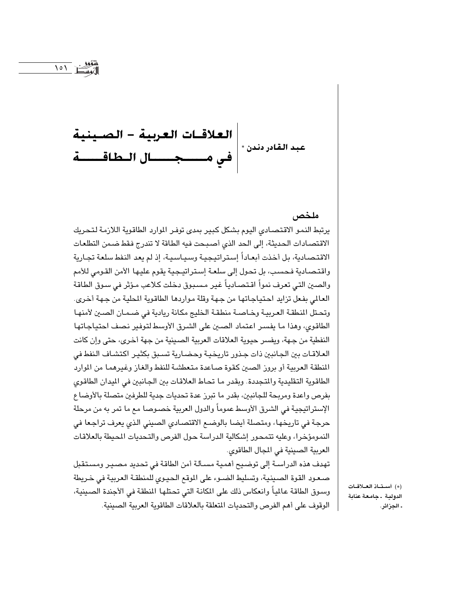

 $\bigwedge$   $\bigwedge$ 

ملخص

يرتبط النمو الاقتصادي اليوم بشكل كبير بمدى توفر الموارد الطاقوية اللازمة لتحريك الاقتصادات الحديثة، إلى الحد الذي أصبحت فيه الطاقة لا تندرج فقط ضمن التطلعات الاقتصادية، بل أخذت أبعاداً إستراتيجية وسياسية، إذ لم يعد النفط سلعة تجارية واقتصادية فحسب، بل تحول إلى سلعة إستراتيجية يقوم عليها الأمن القومي للأمم والصين التي تعرف نمواً اقتصادياً غير مسبوق دخلت كلاعب مؤثر في سوق الطاقة العالم ، بفعل تزايد احتياجاتها من جهة وقلة مواردها الطاقوية المطية من جهة أخرى. وتحتل النطقة العربية وخاصة منطقة الخليج مكانة ريادية في ضممان الصين لأمنها الطاقوى، وهذا ما يفسر اعتماد الصين على الشرق الأوسط لتوفير نصف احتياجاتها النفطية من جهة، ويفسر حيوية العلاقات العربية الصينية من جهة أخرى، حتى وإن كانت العلاقـات بين الجـانبين ذات جـذور تاريخيـة وحضـارية تسـبق بكثيـر اكتشـاف النفط فى المنطقة العربية أو بروز الصين كقوة صاعدة متعطشة للنفط والغاز وغيرهما من الموارد الطاقوية التقليدية والمتجددة. وبقدر ما تحاط العلاقات بين الجانبين في الميدان الطاقوي بفرص واعدة ومربحة للجانبين، بقدر ما تبرز عدة تحديات جدية للطرفين متصلة بالأوضاع الإستراتيجية في الشرق الأوسط عموماً والدول العربية خصىوصا مع ما تمر به من مرحلة حرجة في تاريخها، ومتصلة أيضا بالوضع الاقتصادي الصيني الذي يعرف تراجعا في النمومؤخرا، وعليه تتمحور إشكالية الدراسة حول الفرص والتحديات المحيطة بالعلاقات العربية الصينية في المجال الطاقوي.

تهدف هذه الدراسـة إلى توضيح أهمية مسـألة أمن الطاقة في تحديد مصيـر ومسـتقبل صعود القوة الصينية، وتسليط الضوء على الموقع الحيوى للمنطقة العربية في خريطة وسوق الطاقة عالمياً وانعكاس ذلك على المكانة التي تحتلها المنطقة في الأجندة الصينية، الوقوف على أهم الفرص والتحديات المتعلقة بالعلاقات الطاقوية العربية الصينية.

(\*) أستاذ العلاقات الدولية . جامعة عنابة . الجزائر.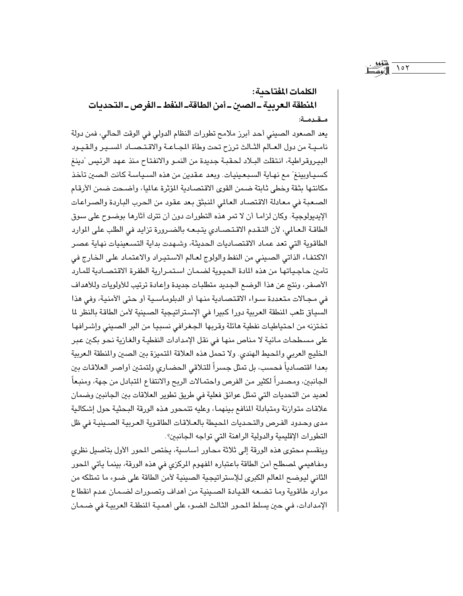# الكلمات المفتاحية: المنطقة العربية ـ الصبن ـ أمن الطاقةـ النفط ـ الفرص ـ التحديات مقدمة:

 $\sqrt{27}$ 

يعد الصعود الصيني أحد أبرز ملامح تطورات النظام الدولي في الوقت الحالي، فمن دولة ناميية من دول العـالم الثـالث ترزح تحت وطأة المجـاعـة والاقـتـصـاد المسـير والقـيـود البيروقراطية، انتقلت البـلاد لحقبـة جديدة من النمـو والانفتـاح منذ عـهد الرئيس "دينغ كسيـاوبينغ" مـع نهـاية السـبـعـينيـات. وبعد عـقدين من هذه السـيـاسـة كـانت الـصـين تأخـذ مكانتها بثقة وخطى ثابتة ضمن القوى الاقتصادية المؤثرة عاليا، وأضحت ضمن الأرقام الصعبة في معادلة الاقتصاد العالمي المنبثق بعد عقود من الحرب الباردة والصراعات الإيديولوجية. وكان لزاما أن لا تمر هذه التطورات دون أن تترك أثارها بوضوح على سوق الطاقة العالمي، لأن التقدم الاقتصادي يتبعه بالضرورة تزايد في الطلب على الموارد الطاقوية التي تعد عماد الاقتصاديات الحديثة، وشـهدت بداية التسـعينيات نهاية عصـر الاكتفاء الذاتي الصيني من النفط والولوج لعالم الاستيراد والاعتماد على الخارج في تأمين حاجياتها من هذه المادة الحيوية لضمان استمرارية الطفرة الاقتصادية للمارد الأصفر، ونتج عن هذا الوضع الجديد متطلبات جديدة وإعادة ترتيب للأولويات وللأهداف في مجـالات متعددة سـواء الاقتصـادية منها أو الدبلومـاسـية أو حتى الأمنية، وفي هذا السياق تلعب المنطقة العربية دورا كبيرا في الإستراتيجية الصينية لأمن الطاقة بالنظر لما تختزنه من احتياطيات نفطية هائلة وقربها الجغرافي نسبيا من البر الصيني وإشرافها على مسطحات مائية لا مناص منها في نقل الإمدادات النفطية والغازية نحو بكين عبر الخليج العربي والمحيط الهندي. ولا تحمل هذه العلاقة المتميزة بين الصين والمنطقة العربية بعدا اقتصادياً فحسب، بل تمثل جسراً للتلاقي الحضاري ولتمتين أواصر العلاقات بين الجانبين، ومصدراً لكثير من الفرص واحتمالات الربح والانتفاع المتبادل من جهة، ومنبعاً لعديد من التحديات التي تمثل عوائق فعلية في طريق تطوير العلاقات بين الجانبين وضمان علاقات متوازنة ومتبادلة المنافع بينهما، وعليه تتمحور هذه الورقة البحثية حول إشكالية مدى وحدود الفرص والتحديات المحيطة بالعـلاقات الطاقـوية العـربية الصـينيـة في ظل التطورات الإقليمية والدولية الراهنة التي تواجه الجانبين؟.

وينقسم محتوى هذه الورقة إلى ثلاثة محاور أساسية، يختص المحور الأول بتأصيل نظري ومفاهيمي لمصطلح أمن الطاقة باعتباره المفهوم المركزي في هذه الورقة، بينما يأتي المحور الثاني ليوضح المعالم الكبرى للإستراتيجية الصينية لأمن الطاقة على ضوء ما تمتلكه من موارد طاقوية وما تضعه القيادة الصينية من أهداف وتصورات لضمان عدم انقطاع الإمدادات، في حين يسلط المحور الثالث الضوء على أهمية المنطقة العربية في ضـمـان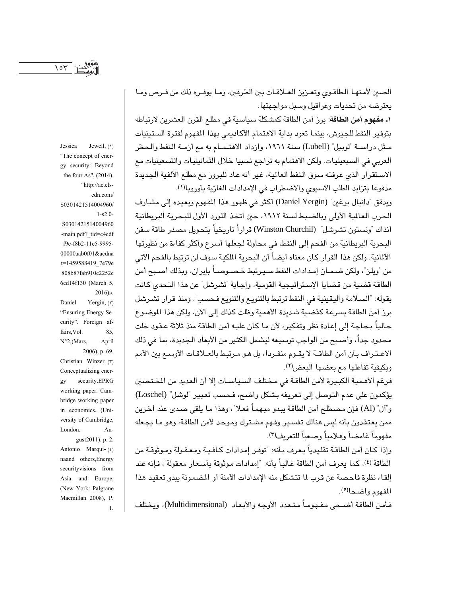Jessica

الصين لأمنها الطاقوي وتعـزيز العـلاقـات بين الطرفين، ومـا يوفـره ذلك من فـرص ومـا يعترضه من تحديات وعراقيل وسبل مواجهتها.

١. مفهوم أمن الطاقة: برز أمن الطاقة كمشكلة سياسية في مطلع القرن العشرين لارتباطه بتوفير النفط للجيوش، بينما تعود بداية الاهتمام الأكاديمي بهذا المفهوم لفترة الستينيات مـثل دراســة "لوبيل" (Lubell) سنة ١٩٦١، وازداد الاهتـمــام به مـع أزمــة الـنفط والـحظر العربي في السبعينيات. ولكن الاهتمام به تراجع نسبيا خلال الثمانينيات والتسعينيات مع الاستقرار الذي عرفته سوق النفط العالية، غير أنه عاد للبروز مع مطلع الألفية الجديدة مدفوعا بتزايد الطلب الآسيوي والاضطراب في الإمدادات الغازية بأوروبالا).

ويدقق "دانيال يرغين" (Daniel Yergin) أكثر في ظهور هذا المفهوم ويعيده إلى مشارف الحرب العالية الأولى وبالضبط لسنة ١٩١٢، حين اتخذ اللورد الأول للبحرية البريطانية اَنذاك "ونستون تشرشل" (Winston Churchil) قراراً تاريخياً بتحويل مصدر طاقة سفن البحرية البريطانية من الفحم إلى النفط، في محاولة لجعلها أسرع وأكثر كفاءة من نظيرتها الألمانية. ولكن هذا القرار كان معناه أيضاً أن البحرية الملكية سوف لن ترتبط بالفحم الآتي من "ويلز"، ولكن ضـمـان إمـدادات النفط سـيـرتبط خـصـوصـاً بإيران، وبذلك أصـبـع أمن الطاقة قضية من قضايا الإستراتيجية القومية، وإجابة "تشرشل" عن هذا التحدي كانت بقوله: "السـلامة واليقينية في النفط ترتبط بالتنويـع والتنويـع فـحسب". ومنذ قرار تشـرشل برز أمن الطاقة بسرعة كقضية شديدة الأهمية وظلت كذلك إلى الآن، ولكن هذا الموضوع حالياً بـحـاجـة إلى إعـادة نظر وتفكير، لأن مـا كـان عليـه أمن الطاقـة منذ ثلاثة عـقـود خلت محدود جداً، وأصبح من الواجب توسيعه ليشمل الكثير من الأبعاد الجديدة، بما في ذلك الاعتراف بأن أمن الطاقــة لا يقــوم منفــردا، بل هـو مـرتبط بالعــلاقـات الأوسـع بين الأمم وبكيفية تفاعلها مع بعضها البعض(٢).

فرغم الأهمية الكبيرة لأمن الطاقـة في مـختلف السياسـات إلا أن العديد من المخـتصـين يؤكدون على عدم التوصل إلى تعريفه بشكل واضح، فحسب تعبير "لوشل" (Loschel) و"أل" (Al) فإن مصطلح أمن الطاقة يبدو مبـهماً فعـلا"، وهذا مـا يلقى صـدى عند أخرين ممن يعتقدون بأنه ليس هنالك تفسير وفهم مشترك وموحد لأمن الطاقة، وهو ما يجعله مفهوماً غامضاً وهلامياً وصعباً للتعريف(٣).

وإذا كـان أمن الطاقـة تقليدياً يعرف بـأنه: "توفـر إمدادات كـافـيـة ومـعـقـولة ومـوثوقـة من الطاقة"(٤)، كما يعرف أمن الطاقة غالباً بأنه: "إمدادات موثوقة بأسـعار معقولة"، فإنه عند القاء نظرة فاحصة عن قرب لما تتشكل منه الإمدادات الآمنة أو المضمونة بيدو تعقيد هذا المفهوم واضحا<sup>(0</sup>).

فـأمن الطاقة أضـحي مفـهومـاً متـعدد الأوجـه والأبعـاد (Multidimensional)، ويختلف

"The concept of energy security: Beyond the four As", (2014). "http://ac.elscdn.com/ S0301421514004960/  $1 - s2.0$ 

Jewell,  $( \setminus )$ 

S0301421514004960 -main.pdf? tid=c4cdf f9e-f8b2-11e5-9995-00000aab0f01&acdna t=1459588419 7e79e 808b87fab910c2252e 6ed14f130 (March 5,  $2016$ )».

Yergin,  $(5)$ Daniel "Ensuring Energy Security". Foreign affairs, Vol. 85, N°2,)Mars, April 2006), p. 69.

Christian Winzer. (٣) Conceptualizing enersecurity.EPRG gy working paper. Cambridge working paper in economics. (University of Cambridge, London.  $Au$ gust2011). p. 2. Antonio Marqui-(٤) naand others, Energy securityvisions from Asia and Europe, (New York: Palgrane Macmillan 2008), P.

 $\overline{1}$ .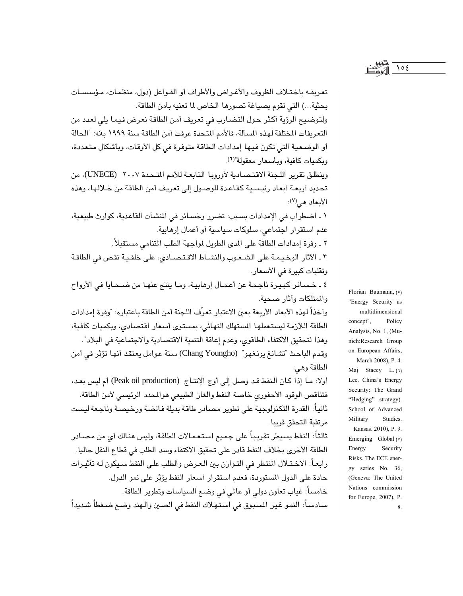تعريفه باختـلاف الظروف والأغـراض والأطراف أو الفـواعل (دول، منظمـات، مـؤسسـات بحثية...) التي تقوم بصياغة تصورها الخاص لما تعنيه بأمن الطاقة. ولتوضيح الرؤية أكثر حول التضارب في تعريف أمن الطاقة نعرض فيما يلي لعدد من التعريفات المختلفة لهذه المسألة، فالأمم المتحدة عرفت أمن الطاقة سنة ١٩٩٩ بأنه: "الحالة أو الوضعية التي تكون فيها إمدادات الطاقة متوفرة في كل الأوقات، وبأشكال متعددة، وبكميات كافية، ويأسعار معقولة"(٦). وينطلق تقرير اللجنة الاقتصادية لأوروبا التابعة للأمم المتحدة ٢٠٠٧ (UNECE)، من تحديد أربعة أبعاد رئيسـية كقاعدة للوصـول إلى تعريف أمن الطاقة من خـلالها، وهذه الأبعاد هي(٧): ١ ـ اضطراب في الإمدادات بسبب: تضرر وخسائر في المشآت القاعدية، كوارث طبيعية، عدم استقرار اجتماعي، سلوكات سياسية أو أعمال إرهابية. ٢ ـ وفرة إمدادات الطاقة على المدى الطويل لمواجهة الطلب المتنامي مستقبلاً. ٢ ـ الآثار الوخيمـة على الشـعـوب والنشـاط الاقـتـصـادي، على خلفـيـة نقص في الطاقـة وتقلبات كبيرة في الأسعار. ٤ ـ خسائر كبيرة ناجمة عن أعمال إرهابية، وما ينتج عنها من ضحـايا في الأرواح والمتلكات وأثار صحبة. وأخذاً لهذه الأبعاد الأريعة بعين الاعتبار تعرّف اللجنة أمن الطاقة باعتباره: "وفرة إمدادات الطاقة اللازمة ليستعملها المستهلك النهائي، بمستوى أسعار اقتصادى، وبكميات كافية، وهذا لتحقيق الاكتفاء الطاقوي، وعدم إعاقة التنمية الاقتصادية والاجتماعية في البلاد". وقدم الباحث "تشانغ يونغهو" (Chang Youngho) ستة عوامل يعتقد أنها تؤثر في أمن الطاقة وهي: أولا: ما إذا كان النفط قد وصل إلى أوج الإنتاج (Peak oil production) أم ليس بعد، فتناقص الوقود الأحفورى خاصة النفط والغاز الطبيعى هوالمحدد الرئيسى لأمن الطاقة. ثانياً: القدرة التكنولوجية على تطوير مصادر طاقة بديلة فائضة ورخيصة وناجعة ليست مرتقبة التحقق قريبا . ثالثاً: النفط يسبطر تقريباً على جميع استعمالات الطاقة، وليس هنالك أي من مصادر الطاقة الأخرى بخلاف النفط قادر على تحقيق الاكتفاء وسد الطلب في قطاع النقل حاليا . رابعـاً: الاخـتـلال المنتظر في التـوازن بين الـعـرض والطلب علـى النفط سـيكون لـه تأثيـرات حادة على الدول المستوردة، فعدم استقرار أسعار النفط يؤثر على نمو الدول. خامساً: غياب تعاون دولي أو عالمي في وضع السياسات وتطوير الطاقة.

سـادسـاً: النمـو غـيـر المسبـوق فـي اسـتـهـلاك النفط فـي الصـين والـهند وضـع ضـغطاً شـديداً

Florian Baumann, ( $\circ$ ) "Energy Security as multidimensional concept", Policy Analysis, No. 1, (Munich:Research Group on European Affairs, March 2008), P. 4. Maj Stacey L. (1) Lee. China's Energy Security: The Grand "Hedging" strategy). School of Advanced Military Studies. Kansas. 2010), P. 9. Emerging Global (v) Energy Security Risks. The ECE energy series No. 36, (Geneva: The United Nations commission for Europe, 2007), P. 8.

 $\bigwedge$   $\circ$   $\epsilon$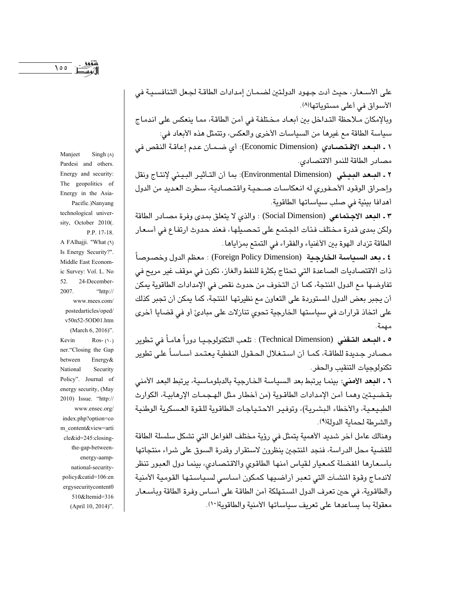الأسواق في أعلى مستوياتها(٨). وبالإمكان مـلاحظة التداخل بين أبعـاد مـخـتلفة في أمن الطاقة، ممـا ينعكس على اندمـاج سياسة الطاقة مع غيرها من السياسات الأخرى والعكس، وتتمثل هذه الأبعاد في: ١ ـ البــعد الاقـتـصــادي (Economic Dimension): أي ضـمـان عـدم إعـاقـة النقص في مصادر الطاقة للنمو الاقتصادي.

على الأسـعار، حيث أدت جـهـود الدولـتين لضـمـان إمدادات الطاقـة لـجـعل التنافسـيـة في

٢ ـ المعد الممثى (Environmental Dimension): بما أن التـأثير البيئي لإنتـاج ونقل وإحراق الوقود الأحفوري له انعكاسات صحية واقتصادية، سطرت العديد من الدول أهدافا بيئية في صلب سياساتها الطاقوية.

٣ ـ البعد الاجتماعي (Social Dimension) : والذي لا يتعلق بمدى وفرة مصادر الطاقة ولكن بمدى قدرة مختلف فئات المجتمع على تحصيلها، فعند حدوث ارتفاع في أسعار الطاقة تزداد الهوة بين الأغنياء والفقراء في التمتع بمزاياها .

**٤ ـ بعد السياسة الخارجية (Foreign Policy Dimension)** : معظم الدول وخصوصاً ذات الاقتصاديات الصاعدة التي تحتاج بكثرة للنفط والغاز، تكون في موقف غير مريح في تفاوضها مع الدول المنتجة، كما أن التخوف من حدوث نقص في الإمدادات الطاقوية يمكن أن يجبر بعض الدول المستوردة على التعاون مع نظيرتها المنتجة، كما يمكن أن تجبر كذلك على اتخاذ قرارات في سياستها الخارجية تحوي تنازلات على مبادئ أو في قضايا أخرى مهمة.

9 ـ المــعد التــقني (Technical Dimension) : تلعب التكنولوجـيـا دوراً هامـاً في تطوير مصـادر جـديدة للطاقـة، كمـا أن اسـتـغـلال الـحـقـول النـفطيـة يـعـتـمـد أســاسـاً علـى تطوير تكنولوجيات التنقيب والحفر.

٦ ـ البعد الأمنى: بينما يرتبط بعد السياسة الخارجية بالدبلوماسية، يرتبط البعد الأمنى بقضيتين وهما أمن الإمدادات الطاقوية (من أخطار مثل الهجمـات الإرهابيـة، الكوارث الطبيعية، والأخطاء البشرية)، وتوفير الاحتياجات الطاقوية للقوة العسكرية الوطنية والشرطة لحماية الدولة(٩).

وهنالك عامل أخر شديد الأهمية يتمثل في رؤية مختلف الفواعل التي تشكل سلسلة الطاقة للقضية محل الدراسة، فنجد المنتجين ينظرون لاستقرار وقدرة السوق على شراء منتجاتها بأسعارها المفضلة كمعيار لقياس أمنها الطاقوى والاقتصادى، بينما دول العبور تنظر لاندماج وقوة المشآت التي تعبر أراضيها كمكون أساسى لسياستها القومية الأمنية والطاقوية، في حين تعرف الدول المستهلكة أمن الطاقة على أسـاس وفرة الطاقة وبأسـعـار معقولة بما يساعدها على تعريف سياساتها الأمنية والطاقوية(١٠).

Manjeet Singh  $(A)$ Pardesi and others. Energy and security: The geopolitics of Energy in the Asia-Pacific.)Nanyang technological university, October 2010(. P.P. 17-18. A FAlhajji. "What (9) Is Energy Security?". Middle East Economic Survey: Vol. L. No 52. 24-December-2007. "http:// www.mees.com/ postedarticles/oped/ v50n52-5OD01.htm (March 6, 2016)". Kevin Ros- $(1)$ ner."Closing the Gap between Energy& Security National Policy". Journal of energy security, (May 2010) Issue. "http:// www.ensec.org/ index.php?option=co m\_content&view=arti cle&id=245:closingthe-gap-betweenenergy-aampnational-securitypolicy&catid=106:en ergysecuritycontent0 510&Itemid=316 (April 10, 2014)".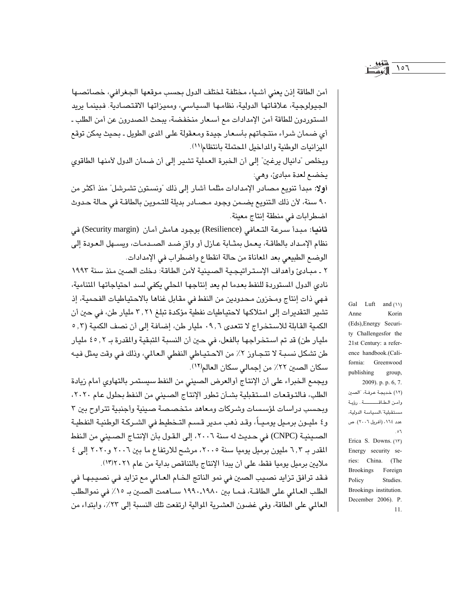أمن الطاقة إذن يعني أشياء مختلفة لمختلف الدول بحسب موقعها الجغرافي، خصائصها الجيولوجية، علاقاتها الدولية، نظامها السياسي، ومميزاتها الاقتصادية. فبينما يريد المستوردون للطاقة أمن الإمدادات مع أسعار منخفضة، يبحث المصدرون عن أمن الطلب ـ أي ضمان شراء منتجاتهم بأسعار جيدة ومعقولة على الدى الطويل ـ بحيث يمكن توقع الميزانيات الوطنية والمداخيل المحتملة بانتظام(١١).

ويخلص "دانيال يرغين" إلى أن الخبرة العملية تشير إلى أن ضمان الدول لأمنها الطاقوى يخضع لعدة مبادئ، وهي:

أولا: مبدأ تنويع مصادر الإمدادات مثلما أشار إلى ذلك "ونستون تشرشل" منذ أكثر من ٩٠ سنة، لأن ذلك التنويع يضـمن وجود مـصـادر بديلة للتـموين بالطاقـة في حـالة حـدوث اضطرابات في منطقة إنتاج معينة.

ثانيا: مبدأ سرعة التعافي (Resilience) بوجود هامش أمان (Security margin) في نظام الإمداد بالطاقة، يعمل بمثـابة عـازل أو واق ضـد الصـدمـات، ويسـهل الـعـودة إلى الوضع الطبيعي بعد المعاناة من حالة انقطاع واضطراب في الإمدادات.

٢ ـ مبـاديَّ وأهداف الإستراتيجية الصينية لأمن الطاقة: دخلت الصين منذ سنة ١٩٩٢ نادي الدول المستوردة للنفط بعدما لم يعد إنتاجها المحلي يكفي لسد احتياجاتها المتنامية، فهي ذات إنتاج ومخزون محدودين من النفط في مقابل غناها بالاحتياطيات الفحمية، إذ تشير التقديرات إلى امتلاكها لاحتياطيات نفطية مؤكدة تبلغ ٢,٢١ مليار طن، في حين أن الكمية القابلة للاستخراج لا تتعدى ٩,٦ مليار طن، إضافة إلى أن نصف الكمية (٢, ٥ مليار طن) قد تم استخراجها بالفعل، في حين أن النسبة المتبقية والمقدرة بـ ٢ , ٤٥ مليار طن تشكل نسبـة لا تتجـاوز ٢٪ من الاحـتيـاطي النفطي الـعـالمي، وذلك فـي وقت يمثل فيـه سكان الصين ٢٢٪ من إجمالي سكان العالم(١٢).

ويجمع الخبراء على أن الإنتاج أوالعرض الصيني من النفط سيستمر بالتهاوي أمام زيادة الطلب، فالتوقعات المستقبلية بشأن تطور الإنتاج الصيني من النفط بحلول عام ٢٠٢٠، وبحسب دراسات لمؤسسات وشركات ومعاهد متخصصة صينية وأجنبية تتراوح بين ٣ و٤ مليـون برمـيل يومـيــاً، وقـد ذهب مـدير قـسـم التـخطيط في الشـركـة الوطنيـة النفطيـة الصينية (CNPC) في حديث له سنة ٢٠٠٦، إلى القول بأن الإنتاج الصيني من النفط المقدر بـ ٦,٣ مليون برميل يوميا سنة ٢٠٠٥، مرشح للارتفاع ما بين ٢٠٠٦ و٢٠٢٠ إلى ٤ ملايين برميل يوميا فقط، على أن يبدأ الإنتاج بالتناقص بداية من عام ٢٠٢١٢١١.

فـقد ترافق تزايد نصـيب الصـين في نمو الناتج الـضام العـالمي مـع تزايد فـي نصـيـبـهـا في الطلب العـالمي على الطاقــة، فـمـا بين ١٩٨٠ـ ١٩٩٠ ســاهمت الصــين بـ ١٥٪ في نموالـطلب العالمي على الطاقة، وفي غضون العشرية الموالية ارتفعت تلك النسبة إلى ٢٣٪، وابتداء من

Gal Luft and  $(1)$ Anne Korin (Eds), Energy Security Challengesfor the 21st Century: a reference handbook.(California: Greenwood publishing group, 2009). p. p. 6, 7. (١٢) خديجة عرفة، "الصين وأمن الطاقسسة.. رؤية مستقبلية السياسة الدولية، عدد ١٦٤، (أفريل ٢٠٠٦). ص  $\cdot$ ۰٦ Erica S. Downs. (١٣) Energy security series: China. (The **Brookings** Foreign Policy Studies. Brookings institution. December 2006). P.  $11.$ 

 $\sqrt{2}$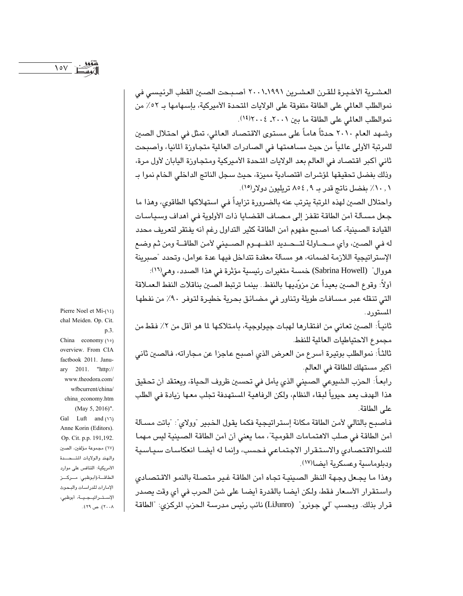العشـرية الأخـيـرة للقـرن العشـرين ١٩٩١.٢٠٠١ أصـبـحت الصـين القطب الرئيسـي في نموالطلب العالمي على الطاقة متفوقة على الولايات المتحدة الأميركية، بإسهامها بـ ٥٢٪ من نموالطلب العالمي على الطاقة ما بين ٢٠٠١. ٢٠٠٤.

وشـهد العام ٢٠١٠ حدثاً هامـاً على مستوى الاقتصـاد العالم، تمثل في احتـلال الصـين للمرتبة الأولى عالمياً من حيث مساهمتها في الصادرات العالية متجاوزة ألمانيا، وأصبحت ثاني أكبر اقتصاد في العالم بعد الولايات المتحدة الأميركية ومتجاوزة اليابان لأول مرة، وذلك بفضل تحقيقها لمؤشرات اقتصادية مميزة، حيث سجل الناتج الداخلي الخام نموا بـ ٠, ١٠٪ بفضل ناتج قدر بـ ٩, ٥٤ م تريليون دولار(١٥).

واحتلال الصين لهذه المرتبة يترتب عنه بالضرورة تزايداً في استهلاكها الطاقوى، وهذا ما جعل مسـألة أمن الطاقة تقفز إلى مـصـاف القضـايا ذات الأولوية فـي أهداف وسـيـاسـات القيادة الصينية، كما أصبح مفهوم أمن الطاقة كثير التداول رغم أنه يفتقر لتعريف محدد له في الصين، وأي مـحـاولـة لتـحـديد المفــهـوم الـصــيني لأمن الطاقــة ومن ثـم وضـع الإستراتيجية اللازمة لضمانه، هو مسألة معقدة تتداخل فيها عدة عوامل، وتحدد "صبرينة هووال" (Sabrina Howell) خمسة متغيرات رئيسية مؤثرة في هذا الصدد، وهي<sup>(١٦)</sup>:

أولاً: وقوع الصين بعيداً عن مزوّديها بالنفط.. بينما ترتبط الصين بناقلات النفط العملاقة التي تنقله عبر مسافات طويلة وتناور في مضائق بحرية خطيرة لتوفر ٩٠٪ من نفطها المستور د .

ثانياً: الصين تعاني من افتقارها لهبات جيولوجية، بامتلاكها لما هو أقل من ٢٪ فقط من مجموع الاحتياطيات العالمية للنفط.

ثالثاً: نموالطلب بوتيرة أسرع من العرض الذي أصبح عاجزا عن مجاراته، فالصبن ثاني أكبر مستهلك للطاقة في العالم.

رابعـاً: الـحزب الشيوعي الصـيني الذي يأمل في تحسـين ظروف الـحياة، ويعتقد أن تحقيق هذا الهدف يعد حيوياً لبقاء النظام، ولكن الرفاهية المستهدفة تجلب معها زيادة في الطلب على الطاقة.

فأصبح بالتالي لأمن الطاقة مكانة إستراتيجية فكما يقول الخبير "وولاي": "باتت مسألة أمن الطاقة في صلب الاهتمامات القومية"، مما يعني أن أمن الطاقة الصينية ليس مهما للنموالاقتصادي والاستقرار الاجتماعي فحسب، وإنما له أيضا انعكاسات سياسية ودبلوماسية وعسكرية أيضا(١٧).

وهذا ما يجعل وجهة النظر الصينية تجاه أمن الطاقة غير متصلة بالنمو الاقتصادى واستقرار الأسعار فقط، ولكن أيضا بالقدرة أيضا على شن الحرب في أي وقت يصدر قرار بذلك. وبحسب "لي جونرو" (LiJunro) نائب رئيس مدرسة الحزب الركزي: "الطاقة

Pierre Noel et Mi-(12) chal Meiden. Op. Cit. p.3. China economy  $(1)$ overview. From CIA factbook 2011. January 2011. "http:// www.theodora.com/ wfbcurrent/china/ china\_economy.htm (May 5, 2016)". Gal Luft and (17) Anne Korin (Editors). Op. Cit. p.p. 191,192. (١٧) مجموعة مؤلفين، الصين والهند والولايات المتسحسدة الأمريكية: التنافس على موارد الطاقة،(أبوظبي: مركز الإمارات للدراسات والبحوث الإستراتيجية، أبوظبي، ۲۰۰۸). ص ۶۲۹.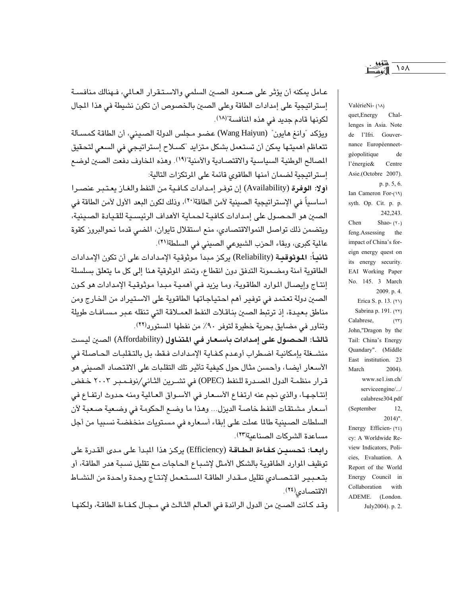عـامل يمكنه أن يؤثر على صـعود الصـين السلمي والاسـتـقرار العـالمي، فـهنالك منافسـة إستراتيجية على إمدادات الطاقة وعلى الصين بالخصوص أن تكون نشيطة في هذا المجال لكونها قادم جديد في هذه المنافسة"(١٨).

ويؤكد "وانغ هايون" (Wang Haiyun) عضـو مـجلس الدولة الصـيني، أن الطاقة كمسـألة تتعاظم أهميتها يمكن أن تستعمل بشكل متزايد "كسلاح إستراتيجي في السعي لتحقيق المصالح الوطنية السياسية والاقتصادية والأمنية"(١٩). وهذه المخاوف دفعت الصين لوضع إستراتيجية لضمان أمنها الطاقوي قائمة على المرتكزات التالية:

أولا: الوفرة (Availability) إن توفـر إمـدادات كـافـيـة من النفط والغـاز يعـتـبـر عنصـرا أساسياً في الإستراتيجية الصينية لأمن الطاقة(٢٠)، وذلك لكون البعد الأول لأمن الطاقة في الصين هو الحصول على إمدادات كافية لحماية الأهداف الرئيسية للقيادة الصينية، ويتضمن ذلك تواصل النموالاقتصادى، منع استقلال تايوان، المضى قدما نحوالبروز كقوة عالمية كبرى، وبقاء الحزب الشيوعي الصيني في السلطة(٢١).

**ثانياً: الموثوقيـة** (Reliability) يركز مبدأ موثوقية الإمدادات على أن تكون الإمدادات الطاقوية أمنة ومضمونة التدفق دون انقطاع، وتمتد الموثوقية هنا إلى كل ما يتعلق بسلسلة إنتـاج وإيصـال الموارد الطاقوية، ومـا يزيد فـي أهميـة مبـدأ موثوقيـة الإمدادات هو كـون الصين دولة تعتمد في توفير أهم احتياجاتها الطاقوية على الاستيراد من الخارج ومن مناطق بعيدة، إذ ترتبط الصين بناقلات النفط العمـلاقة التي تنقله عـبر مسـافـات طويلة وتناور في مضايق بحرية خطيرة لتوفر ٩٠٪ من نفطها المستورد(٢٢).

ثالثـا: الحـصـول علـى إمـدادات بأسـعـار فـي المتنـاول (Affordability) الصـين ليست منشـغلة بإمكانيـة اضطراب أوعدم كفـايـة الإمدادات فـقط، بل بالتـقلبـات الحـاصلة فى الأسعار أيضا، وأحسن مثال حول كيفية تأثير تلك التقلبات على الاقتصاد الصيني هو قرار منظمـة الدول المصـدرة للـنفط (OPEC) في تشـرين الثـاني/نوفـمـبـر ٢٠٠٢ خـفض إنتـاجـهـا، والذي نجم عنه ارتفـاع الأسـعار في الأسـواق العـالمية ومنه حدوث ارتفـاع في أسعار مشتقات النفط خاصة الديزل... وهذا ما وضع الحكومة في وضعية صعبة لأن السلطات الصينية طالما عملت على إبقاء أسعاره في مستويات منخفضة نسبيا من أجل مساعدة الشركات الصناعية(٢٣).

رابعـا: تحسيـن كـفـاءة الـطـاقـة (Efficiency) يركـز هذا البـدأ علـى مـدى القـدرة على توظيف الموارد الطاقوية بالشكل الأمثل لإشباع الحاجات مع تقليل نسبة هدر الطاقة، أو بتعبير اقتصادي تقليل مقدار الطاقة المستعمل لإنتاج وحدة واحدة من النشاط الاقتصادى<sup>(٢٤)</sup>.

وقد كـانت الصـين من الدول الرائدة فـي العـالم الثـالـث في مـجـال كـفـاءة الطاقـة، ولكنهـا

ValérieNi- (14) quet, Energy Challenges in Asia. Note de l'Ifri. Gouvernance Européenneetgéopolitique de l'énergie& Centre Asie.(Octobre 2007). p. p. 5, 6. Ian Cameron For-(19) syth. Op. Cit. p. p. 242,243. Chen Shao- $(7)$ feng.Assessing the impact of China's foreign energy quest on its energy security. EAI Working Paper No. 145. 3 March 2009. p. 4. Erica S. p. 13. (٢١) Sabrina p. 191. (٢٢) Calabrese,  $(\Upsilon\Upsilon)$ John,"Dragon by the Tail: China's Energy Quandary". (Middle East institution. 23 March  $2004$ ). www.sel.isn.ch/ serviceengine/.../ calabrese304.pdf (September 12,  $2014$ ". Energy Efficien- $(Y\xi)$ cy: A Worldwide Review Indicators, Policies, Evaluation. A Report of the World Energy Council in Collaboration with ADEME. (London. July2004). p. 2.

 $\lambda \circ \Lambda$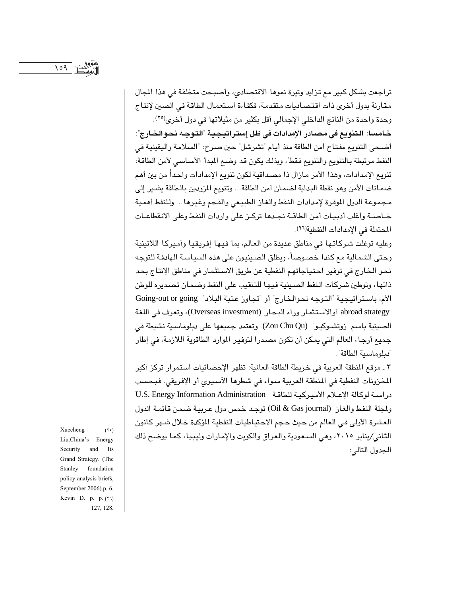تراجعت بشكل كبير مع تزايد وتيرة نموها الاقتصادي، وأصبحت متخلفة في هذا المجال مقارنة بدول أخرى ذات اقتصاديات متقدمة، فكفاءة استعمال الطاقة في الصين لإنتاج وحدة واحدة من الناتج الداخلي الإجمالي أقل بكثير من مثيلاتها في دول أخرى<sup>(٢٥)</sup>.

خامسا: التنويع في مصادر الإمدادات في ظل إستراتيجية "التوجه نحوالخارج": أضحى التنويع مفتاح أمن الطاقة منذ أيام "تشرشل" حين صرح: "السلامة واليقينية في النفط مرتبطة بالتنويع والتنويع فقط"، وبذلك يكون قد وضع المبدأ الأساسي لأمن الطاقة: تنويع الإمدادات، وهذا الأمر مازال ذا مصداقية لكون تنويع الإمدادات واحداً من بين أهم ضمـانات الأمن وهو نقطة البداية لضمـان أمن الطاقة... وتنويـع المزودين بالـطاقة يشـير إلى مجموعة الدول الموفرة لإمدادات النفط والغاز الطبيعي والفحم وغيرها ... وللنفط أهمية خـاصـة وأغلب أدبيـات أمن الطاقـة نجـدها تركـز على واردات النفط وعلى الانقطاعـات المحتملة في الإمدادات النفطية(٢٦).

وعليه توغلت شركاتها في مناطق عديدة من العالم، بما فيها إفريقيا وأميركا اللاتينية وحتى الشمالية مع كندا خصوصاً، ويطلق الصينيون على هذه السياسة الهادفة للتوجه نحو الخارج في توفير احتياجاتهم النفطية عن طريق الاستثمار في مناطق الإنتاج بحد ذاتها، وتوطين شركات النفط الصينية فيها للتنقيب على النفط وضمان تصديره للوطن الأم، باستراتيجية "التوجه نحوالخارج" أو "تجاوز عتبة البلاد" Going-out or going abroad strategy أوالاستثمار وراء البحار (Overseas investment)، وتعرف في اللغة الصينية باسم "زوتشـوكيـو" (Zou Chu Qu). وتعتمد جميعها على دبلوماسـية نشيطة في جميع أرجاء العالم التي يمكن أن تكون مصدرا لتوفير الموارد الطاقوية اللازمة، في إطار "دبلوماسية الطاقة".

٢ ـ موقع المنطقة العربية في خريطة الطاقة العالمية: تظهر الإحصائيات استمرار تركز أكبر المخزونات النفطية في المنطقة العربية سواء في شطرها الآسيوي أو الإفريقي. فبحسب دراسة لوكالة الإعلام الأميركية للطاقة . U.S. Energy Information Administration ولجلة النفط والغاز (Oil & Gas journal) توجد خمس دول عربية ضمن قائمة الدول العشرة الأولى في العالم من حيث حجم الاحتياطيات النفطية المؤكدة خلال شهر كانون الثاني/يناير ٢٠١٥، وهي السعودية والعراق والكويت والإمارات وليبيا، كما يوضح ذلك الجدول التالي:

Xuecheng  $(50)$ Liu.China's Energy Security and Its Grand Strategy. (The Stanley foundation policy analysis briefs, September 2006).p. 6. Kevin D. p. p. (٢٦) 127, 128.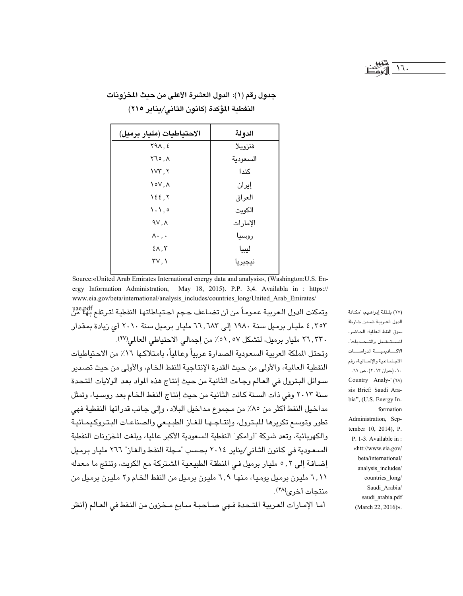$17.$ 

| الاحتياطيات (مليار برميل)           | الدولة   |
|-------------------------------------|----------|
| $Y9\Lambda, \Sigma$                 | فنزويلا  |
| ۸. ۲٦٥                              | السعودية |
| VY, Y                               | كندا     |
| $\sqrt{2}$                          | إيران    |
| 122, 7                              | العراق   |
| $\backslash \cdot \backslash \cdot$ | الكويت   |
| 9V, A                               | الإمارات |
| $\Lambda$ ., .                      | روسيا    |
| $\S$ $\wedge$ , $\vee$              | ليبيا    |
| $\mathsf{rv},\mathsf{v}$            | نيجيريا  |

حدول رقم (١): الدول العشرة الأعلى من حدث المخزونات النفطية المؤكدة (كانون الثاني/يناير ٢١٥)

Source:«United Arab Emirates International energy data and analysis», (Washington:U.S. Energy Information Administration, May 18, 2015). P.P. 3,4. Availabla in: https:// www.eia.gov/beta/international/analysis includes/countries long/United Arab Emirates/ وتمكنت الدول الـعربية عمومـاً من أن تضـاعف حـجم احـتيـاطاتها النفطية لتـرتفـع بهـا من ۴۰۲ . ٤ ملیـار برمیل سنة ۱۹۸۰ إلى ٦٦ .٦٨٣ مليـار برميل سنة ٢٠١٠ أي زيادة بمقدار ٣٦,٣٣٠ مليار برميل، لتشكل ٥٧, ٥٧٪ من إجمالي الاحتياطي العالمي(٢٧).

وتحتل الملكة العربية السعودية الصدارة عربياً وعالياً، بامتلاكها ١٦٪ من الاحتياطيات النفطية العالية، والأولى من حيث القدرة الإنتاجية للنفط الخام، والأولى من حيث تصدير سوائل البترول في العالم وجاءت الثانية من حيث إنتاج هذه المواد بعد الولايات المتحدة سنة ٢٠١٣ وفي ذات السنة كانت الثانية من حيث إنتاج النفط الخام بعد روسيا، وتمثل مداخيل النفط أكثر من ٨٥٪ من مجموع مداخيل البلاد، وإلى جانب قدراتها النفطية فهي تطور وتوسع تكريرها للبترول، وإنتـاجـهـا للغـاز الطبيـعى والصناعـات البـتـروكـيمـائيـة والكهربائية، وتعد شركة "أرامكو" النفطية السعودية الأكبر عالميا، وبلغت المخزونات النفطية السعودية في كانون الثاني/يناير ٢٠١٤ بحسب "مجلة النفط والغاز" ٢٦٦ مليار برميل إضافة إلى ٢, ٥ مليار برميل في المنطقة الطبيعية الشتركة مع الكويت، وتنتج ما معدله ٦,١١ مليون برميل يوميا، منها ٦,٩ مليون برميل من النفط الخام و٢ مليون برميل من منتجات أخرى(٢٨). (٢٧) بلقلة إبراهيم، "مكانة الدول العربية ضمن خارطة سوق النفط العالمية: الحاضر، المستقبل والتحديات الأكساديميسة لدراسسات الاجتماعية والإنسانية، رقم ۰۱۰ (جوان ۲۰۱۳). ص ٦۹. Country Analy-' (٢٨) sis Brief: Saudi Arabia", (U.S. Energy Information Administration, September 10, 2014), P. P. 1-3. Available in: «htt://www.eia.gov/ beta/international/ analysis\_includes/ countries\_long/ Saudi\_Arabia/ saudi\_arabia.pdf (March 22, 2016)».

أما الإمارات العربية المتحدة فـهي صـاحبـة سـابـع مـخزون من النفط في العـالم (أنظر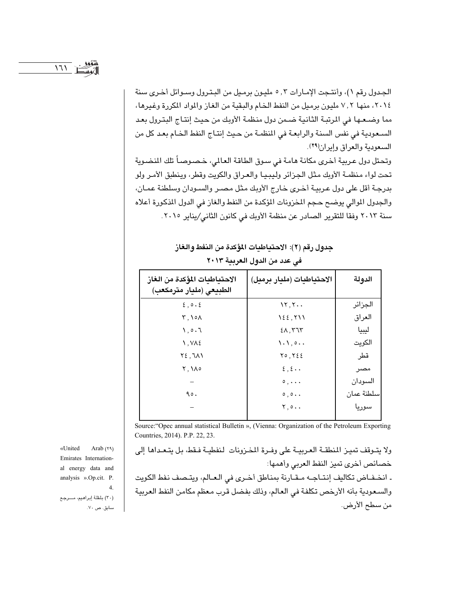الجدول رقم ١)، وأنتـجت الإمـارات ٣, ٥ مليـون برمـيل من البـتـرول وسـوائل أخـرى سنة ٢٠١٤، منها ٧,٢ مليون برميل من النفط الخام والبقية من الغاز والمواد المكررة وغيرها، مما وضـعـها في المرتبـة الثانيـة ضـمن دول منظمـة الأوبك من حيث إنتـاج البتـرول بعـد السعودية في نفس السنة والرابعة في المنظمة من حيث إنتاج النفط الخام بعد كل من السعودية والعراق وإيران(٢٩).

وتحتل دول عربية أخرى مكانة هامة في سوق الطاقة العالمي، خصوصاً تلك المضوية تحت لواء منظمـة الأوبك مثل الجزائر وليبيـا والعـراق والكويت وقطر، وينطبق الأمـر ولو بدرجة أقل على دول عربية أخرى خارج الأوبك مثل مصر والسودان وسلطنة عمان، والجدول الموالي يوضح حجم المخزونات المؤكدة من النفط والغاز في الدول المذكورة أعلاه سنة ٢٠١٣ وفقا للتقرير الصادر عن منظمة الأوبك في كانون الثاني/يناير ٢٠١٥.

> جدول رقم (٢): الاحتياطيات المؤكدة من النفط والغاز في عدد من الدول العربية ٢٠١٣

| الاحتياطيات المؤكدة من الغاز<br>الطبيعي (مليار مترمكعب) | الاحتياطيات (مليار برميل)                            | الدولة     |
|---------------------------------------------------------|------------------------------------------------------|------------|
| $\S$ , $\circ$ . $\S$                                   | $\mathcal{N}, \mathcal{N}$ .                         | الجزائر    |
| <b>٢,١٥٨</b>                                            | 122,711                                              | العراق     |
| $\eta, o, \eta$                                         | $2\lambda,777$                                       | ليبيا      |
| $\lambda, \forall \lambda \xi$                          | $\langle \cdot, \cdot \rangle$ , $\circ \cdot \cdot$ | الكويت     |
| $Y\S$ , $J\Lambda$                                      | Y0, Y55                                              | قطر        |
| $Y, \lambda \circ$                                      | $\xi$ , $\xi$                                        | مصر        |
|                                                         | $\circ$ ,                                            | السودان    |
| 90.                                                     | 0,0                                                  | سلطنة عمان |
|                                                         | Y, 0                                                 | سوريا      |

Source: "Opec annual statistical Bulletin », (Vienna: Organization of the Petroleum Exporting Countries, 2014). P.P. 22, 23.

ولا يتـوقف تميـز المنطقــة العـرييــة على وفـرة المخـزونات النفطيــة فـقط، بل يتـعـداهـا إلى خصائص أخرى تميز النفط العربي وأهمها:

ـ انخـفـاض تكاليف إنتـاجـه مـقـارنة بمناطق أخـرى فى الـعـالم، ويتـصف نفط الكويت والسعودية بأنه الأرخص تكلفة في العالم، وذلك بفضل قرب معظم مكامن النفط العربية من سطح الأرض.

«United Arab  $(1, 9)$ Emirates International energy data and analysis ».Op.cit. P.  $\overline{4}$ . (٣٠) بلقلة إبراهيم، مرجع سابق. ص ۷۰.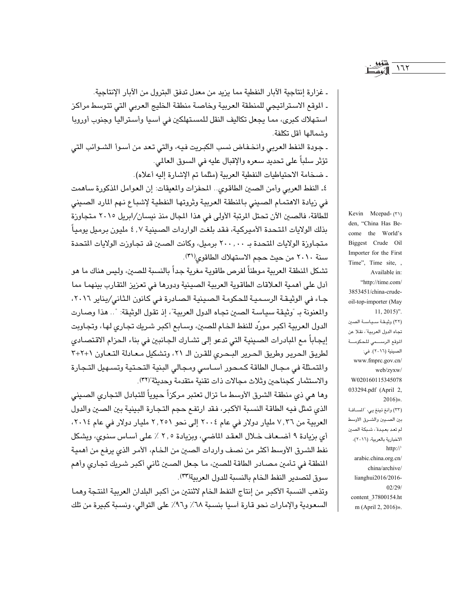ـ غزارة إنتاجية الآبار النفطية مما يزيد من معدل تدفق البترول من الآبار الإنتاجية. ـ الموقع الاستراتيجي للمنطقة العربية وخاصة منطقة الخليج العربي التي تتوسط مراكز استهلاك كبرى، مما يجعل تكاليف النقل للمستهلكين في أسيا وأستراليا وجنوب أوروبا وشمالها أقل تكلفة.

ـ جودة النفط العربي وانخـفـاض نسب الكبـريت فيه، والتي تـعد من أسـوأ الشـوائب التي تؤثر سلباً على تحديد سعره والإقبال عليه في السوق العالمي.

ـ ضخامة الاحتياطيات النفطية العربية (مثلما تم الإشارة إليه أعلاه).

٤ـ النفط العربي وأمن الصين الطاقوي.. المحفزات والمعيقات: إن العوامل المذكورة ساهمت في زيادة الاهتمام الصيني بالمنطقة العربية وثروتها النفطية لإشباع نهم المارد الصيني للطاقة، فالصين الآن تحتل المرتبة الأولى في هذا المجال منذ نيسان/ابريل ٢٠١٥ متجاوزة بذلك الولايات المتحدة الأميركية، فقد بلغت الواردات الصينية ٤,٧ مليون برميل يومياً متجاوزة الولايات المتحدة بـ ٢٠٠,٠٠٠ برميل، وكانت الصين قد تجاوزت الولايات المتحدة سنة ٢٠١٠ من حيث حجم الاستهلاك الطاقوى(٣١).

تشكل المنطقة العربية موطناً لفرص طاقوية مغرية جداً بالنسبة للصين، وليس هناك ما هو أدل على أهمية العلاقات الطاقوية العربية الصينية ودورها في تعزيز التقارب بينهما مما جاء في الوثيقة الرسمية للحكومة الصينية الصادرة في كانون الثاني/يناير ٢٠١٦، والمعنونة بـ "وثيقة سياسة الصين تجاه الدول العربية"، إذ تقول الوثيقة: ".. هذا وصـارت الدول العربية أكبر مورّد للنفط الخام للصين، وسابع أكبر شريك تجارى لها، وتجاوبت إيجاباً مع البادرات الصينية التي تدعو إلى تشارك الجانبين في بناء الحزام الاقتصادي لطريق الحرير وطريق الحرير البحري للقرن الـ ٢١، وتشكيل معادلة التعاون ١+٢+٣ والمتمثلة في مجال الطاقة كمحور أساسي ومجالي البنية التحتية وتسهيل التجارة والاستثمار كجناحين وثلاث مجالات ذات تقنية متقدمة وحديثة "(٣٢).

وها هي ذي منطقة الشرق الأوسط ما تزال تعتبر مركزاً حيوياً للتبادل التجاري الصيني الذي تمثل فيه الطاقة النسبة الأكبر، فقد ارتفع حجم التجارة البينية بين الصين والدول العربية من ٧,٣٦ مليار دولار في عام ٢٠٠٤ إلى نحو ٢,٢٥١ مليار دولار في عام ٢٠١٤، أي بزيادة ٩ أضعاف خلال العقد الماضي، وبزيادة ٢,٥ ٪ على أساس سنوي، ويشكل نفط الشرق الأوسط أكثر من نصف واردات الصين من الخام، الأمر الذي يرفع من أهمية المنطقة في تأمين مصـادر الطاقة للصـين، مـا جـعل الصـين ثاني أكبر شـريك تجـاري وأهـم سوق لتصدير النفط الخام بالنسبة للدول العربية(٣٣).

وتذهب النسبة الأكبر من إنتاج النفط الخام لاثنتين من أكبر البلدان العربية المنتجة وهما السعودية والإمارات نحو قارة أسيا بنسبة ٦٨٪ و٩٦٪ على التوالي، ونسبة كبيرة من تلك Kevin Mcepad- (٣١) den, "China Has Become the World's Biggest Crude Oil Importer for the First Time", Time site, , Available in: "http://time.com/ 3853451/china-crudeoil-top-importer (May  $11, 2015$ ". (٣٢) وثيقة سياسة الصين تجاه الدول العربية"، نقلا عن الموقع الرسسمي للحكومة الصينية (٢٠١٦). في: www.fmprc.gov.cn/ web/zyxw/ W020160115345078 033294.pdf (April 2,  $2016)$ ». (٣٣) وانغ تينغ يي، "المسافة بين الصيبن والشرق الأوسط لم تعد بعيدة"، شبكة الصين الاخبارية بالعربية، (٢٠١٦)، http:// arabic.china.org.cn/ china/archive/ lianghui2016/2016- $02/29/$ content\_37800154.ht m (April 2, 2016)».

 $177$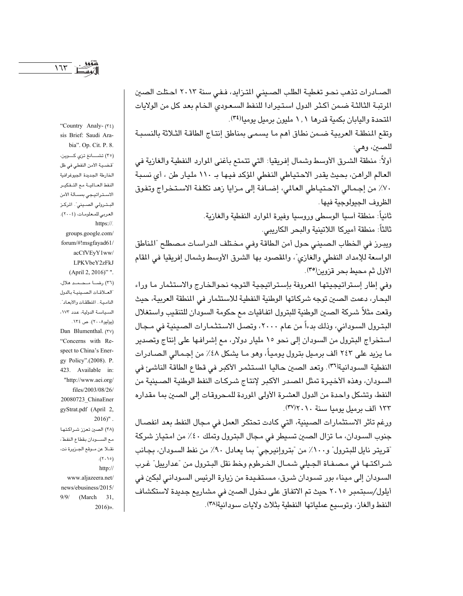الصـادرات تذهب نحـو تغطيـة الطلب الصـينـى المتـزايد، فـفـى سنة ٢٠١٣ احـتلت الصين المرتبة الثالثة ضمن أكثر الدول استيرادا للنفط السعودي الخام بعد كل من الولايات المتحدة واليابان بكمية قدرها ١,١ مليون برميل يوميا(٣٤).

وتقع المنطقة العربية ضـمن نطاق أهم ما يسمـى بمناطق إنتـاج الطاقـة الثـلاثة بالنسبـة للصـين، وهـي:

أولاً: منطقة الشـرق الأوسط وشمال إفـريقيا: التي تتمتع بـأغنى الموارد النفطية والـغازية فـي العالم الراهن، بحيث يقدر الاحتياطي النفطي المؤكد فيها بـ ١١٠ مليار طن ، أي نسبة ٧٠٪ من إجمالي الاحتياطي العالمي، إضافة إلى مزايا زهد تكلفة الاستخراج وتفوق الظروف الجيولوجية فيها .

> ثانياً: منطقة اسيا الوسطى وروسيا وفيرة الموارد النفطية والغازية. ثالثاً: منطقة أميركا اللاتينية والبحر الكاريبي.

ويبرز في الخطاب الصيني حول أمن الطاقة وفي مختلف الدراسات مصطلح "المناطق الواسعة للإمداد النفطي والغازي"، والمقصود بها الشرق الأوسط وشمال إفريقيا في المقام الأول ثم محيط بحر قزوين<sup>(٣٥</sup>).

وفي إطار إستراتيجيتها المعروفة بإستراتيجية التوجه نحوالخارج والاستثمار ما وراء البحار، دعمت الصين توجه شركاتها الوطنية النفطية للاستثمار في المنطقة العربية، حيث وقعت مثلاً شركة الصين الوطنية للبترول اتفاقيات مع حكومة السودان للتنقيب واستغلال البترول السوداني، وذلك بدءاً من عام ٢٠٠٠، وتصل الاستثمارات الصينية في مـجال استخراج البترول من السودان إلى نحو ١٥ مليار دولار، مع إشرافها على إنتاج وتصدير ما يزيد على ٢٤٣ ألف برميل بترول يومياً، وهو مـا يشكل ٤٨٪ من إجـمـالي الـصـادرات النفطية السودانية(٣٦). وتعد الصين حاليا المستثمر الأكبر في قطاع الطاقة الناشئ في السودان، وهذه الأخيرة تمثل المصدر الأكبر لإنتاج شركات النفط الوطنية الصينية من النفط، وتشكل واحدة من الدول العشرة الأولى الموردة للمحروقات إلى الصين بما مقداره ١٣٣ ألف برميل يوميا سنة ٢٠١٠/٣٧).

ورغم تأثر الاستثمارات الصينية، التي كادت تحتكر العمل في مجال النفط بعد انفصال جنوب السودان، ما تزال الصين تسيطر في مجال البترول وتملك ٤٠٪ من امتياز شركة "قريتر نايل للبترول" و٨٠٠٪ من "بتروإنيرجي" بما يعادل ٩٠٪ من نفط السودان، بجانب شـراكتـها في مـصـفـاة الـجـيلي شـمـال الـخـرطوم وخط نقل البـترول من "عدارييل" غـرب السودان إلى ميناء بور تسودان شرق، مستفيدة من زيارة الرئيس السوداني لبكين في أيلول/سبتمبر ٢٠١٥ حيث تم الاتفاق على دخول الصين في مشاريع جديدة لاستكشاف النفط والغاز، وتوسيع عملياتها النفطية بثلاث ولايات سودانية(٣٨).

"Country Analy- (٣٤) sis Brief: Saudi Arabia". Op. Cit. P. 8. (٢٥) تشــانغ تزي كــوين، قضية الأمن النفطي في ظل الخارطة الجديدة الجيوغرافية النفط العـالمية مع التـفكيـر الاستراتيجي بمسألة الأمن البـترولى الصـينى". المركـز العربي للمعلومات، (٢٠٠٤). https://. groups.google.com/ forum/#!msgfayad61/ acCfVEyY1ww/ LPKVbeY2zFkJ (April 2, 2016)" ". (٢٦) رضا محمد هلال، العلاقات الصينية بالدول النامية.. المنطلقات والأبعاد". السياسة الدولية، عدد ١٧٢، (يوليو ۲۰۰۸). ص ١٣٤. Dan Blumenthal. (٣٧) "Concerns with Respect to China's Energy Policy".(2008). P. 423. Available in: "http://www.aei.org/ files/2003/08/26/ 20080723 ChinaEner gyStrat.pdf (April 2,  $2016$ ". (٣٨) الصين تعزز شراكتها مع السودان بقطاع النفط"، نقلا عن موقع الجزيرة نت،  $.(\tau \cdot \Delta \circ)$ http:// www.aljazeera.net/ news/ebusiness/2015/

 $9/9/$ 

 $(March \t31)$ 

 $2016$ )».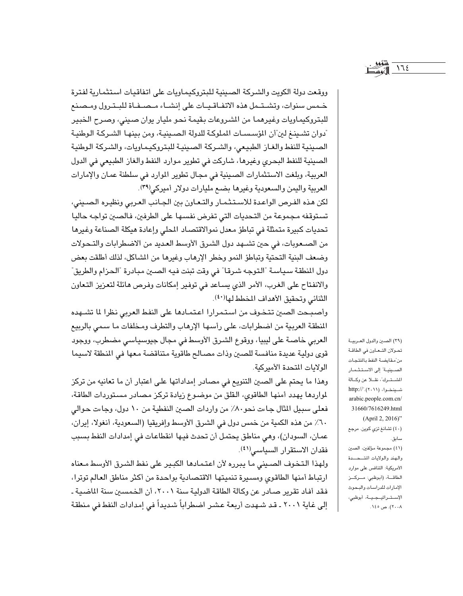ووقعت دولة الكويت والشركة الصينية للبتروكيماويات على اتفاقيات استثمارية لفترة خمس سنوات، وتشتمل هذه الاتفاقيات على إنشاء مصيفاة للبترول ومصنع للبتروكيماويات وغيرهما من الشروعات بقيمة نحو مليار يوان صينى، وصرح الخبير ّدوان تشـينـغ لين"أن المؤسـسـات الملوكـة للدولة الـصـينيـة، ومن بينهـا الشـركـة الـوطنيـة الصينية للنفط والغاز الطبيعى، والشركة الصينية للبتروكيماويات، والشركة الوطنية الصينية للنفط البحري وغيرها، شاركت في تطوير موارد النفط والغاز الطبيعي في الدول العربية، وبلغت الاستثمارات الصينية في مجال تطوير الموارد في سلطنة عمان والإمارات العربية واليمن والسعودية وغيرها بضع مليارات دولار أميركي(٣٩).

لكن هذه الفرص الواعدة للاستثمار والتعاون بين الجانب العربي ونظيره الصيني، تستوقفه مجموعة من التحديات التي تفرض نفسها على الطرفين، فالصين تواجه حاليا تحديات كبيرة متمثلة في تباطؤ معدل نموالاقتصاد المطي وإعادة هيكلة الصناعة وغيرها من الصعوبات، في حين تشهد دول الشرق الأوسط العديد من الاضطرابات والتحولات وضعف البنية التحتية وتباطؤ النمو وخطر الإرهاب وغيرها من المشاكل، لذلك أطلقت بعض دول المنطقة سياسة "التوجه شرقا" في وقت تبنت فيه الصين مبادرة "الحزام والطريق" والانفتاح على الغرب، الأمر الذي يساعد في توفير إمكانات وفرص هائلة لتعزيز التعاون الثنائي وتحقيق الأهداف المخطط لها(٤٠).

وأصبحت الصين تتخوف من استمرارا اعتمادها على النفط العربي نظرا لما تشهده المنطقة العربية من اضطرابات، على رأسها الإرهاب والتطرف ومخلفات ما سمي بالربيع العربي خاصة على ليبيا، ووقوع الشرق الأوسط في مجال جيوسياسي مضطرب، ووجود قوى دولية عديدة منافسة للصين وذات مصالح طاقوية متناقضة معها فى المنطقة لاسيما الولايات المتحدة الأميركية.

وهذا ما يحتم على الصين التنويع في مصادر إمداداتها على اعتبار أن ما تعانيه من تركز لمواردها يهدد أمنها الطاقوى، القلق من موضوع زيادة تركز مصادر مستوردات الطاقة، فعلى سبيل المثال جاءت نحو٨٠٪ من واردات الصين النفطية من ١٠ دول، وجاءت حوالي ٦٠٪ من هذه الكمية من خمس دول في الشرق الأوسط وإفريقيا (السعودية، أنغولا، إيران، عمان، السودان)، وهي مناطق يحتمل أن تحدث فيها انقطاعات في إمدادات النفط بسبب فقدان الاستقرار السياسي(٤١).

ولهذا التخوف الصيني ما يبرره لأن اعتمادها الكبير على نفط الشرق الأوسط معناه ارتباط أمنها الطاقوى ومسيرة تنميتها الاقتصادية بواحدة من أكثر مناطق العالم توترا، فقد أفاد تقرير صـادر عن وكالة الطاقة الدولية سنة ٢٠٠١، أن الـخمسين سنة الماضـية ـ إلى غاية ٢٠٠١ ـ قد شـهدت أربعة عشـر اضطراباً شـديداً في إمدادات النفط في منطقة

(٣٩) الصين والدول العربية تحولان التحاون في الطاقة من مقايضة النفط بالمنتجات الصينية" إلى الاستثمار المشترك"، نقلا عن وكالة شینخوا، (۲۰۱۱)."//ttp: arabic.people.com.cn/ 31660/7616249.html (April 2, 2016)" (٤٠) تشانغ تزي كوين. مرجع سابق. (٤١) مجموعة مؤلفين، الصين والهند والولايات المتسحسدة الأمريكية: التنافس على موارد الطاقــة، (أبوظبي: مـــركـــز الإمارات للدراسات والبحوث الإستراتيجية، أبوظبي،

 $172$ 

۲۰۰۸). ص ۱٤٥.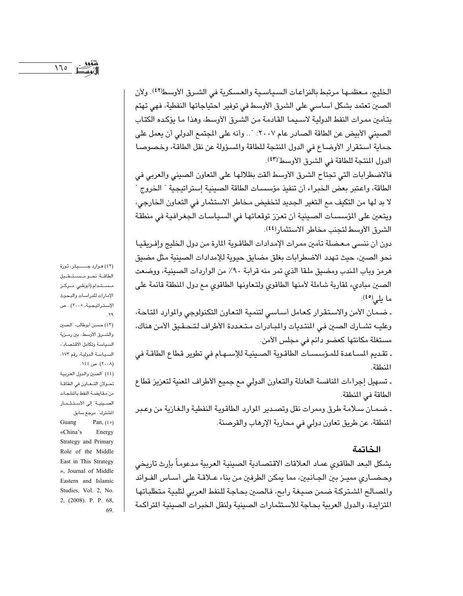الخليج، معظمها مرتبط بالنزاعات السياسية والعسكرية في الشرق الأوسط(٤٢). ولأن الصين تعتمد بشكل أساسي على الشرق الأوسط في توفير احتياجاتها النفطية، فهي تهتم بتأمين ممرات النفط الدولية لاسـيمـا القـادمـة مـن الشـرق الأوسط، وهذا مـا يؤكـده الكتـاب الصيني الأبيض عن الطاقة الصادر عام ٢٠٠٧: ".. وأنه على المجتمع الدولي أن يعمل على حماية استقرار الأوضاع في الدول المنتجة للطاقة والمسؤولة عن نقل الطاقة، وخصوصا الدول المنتجة للطاقة في الشرق الأوسط"(٤٣).

فالاضطرابات التي تجتاح الشرق الأوسط ألقت بظلالها على التعاون الصيني والعربي في الطاقة، واعتبر بعض الخبراء أن تنفيذ مؤسسات الطاقة الصينية إستراتيجية " الخروج ' لا بد لها من التكيف مع التغير الجديد لتخفيض مخاطر الاستثمار في التعاون الخارجي، ويتعين على المؤسسات الصينية أن تعزز توقعاتها في السياسات الجغرافية في منطقة الشرق الأوسط لتجنب مخاطر الاستثمار(٤٤).

دون أن ننسى معضلة تأمين ممرات الإمدادات الطاقوية المارة من دول الخليج وإفريقيا نحو الصين، حيث تهدد الاضطرابات بغلق مضايق حيوية للإمدادات الصينية مثل مضيق هرمز وباب المندب ومضيق ملقا الذي تمر منه قرابة ٩٠٪ من الواردات الصينية، ووضعت الصين مبادىء لمقاربة شاملة لأمنها الطاقوى ولتعاونها الطاقوى مع دول المنطقة قائمة على ما يلي(٤٥):

ـ ضمان الأمن والاستقرار كعامل أساسى لتنمية التعاون التكنولوجي والموارد المتاحة، وعليه تشارك الصين في المنتديات والمبادرات متعددة الأطراف لتحقيق الأمن هناك، مستغلة مكانتها كعضو دائم في مجلس الأمن.

ـ تقديم المساعدة للمؤسسات الطاقوية الصينية للإسـهـام في تطوير قطاع الطاقـة في المنطقة.

ـ تسهيل إجراءات المنافسة العادلة والتعاون الدولي مع جميع الأطراف المعنية لتعزيز قطاع الطاقة في المنطقة.

ـ ضمـان سـلامة طرق وممرات نقل وتصـدير الموارد الطاقوية النفطية والـغازية من وعـبر المنطقة، عن طريق تعاون دولي في محاربة الإرهاب والقرصنة.

### الخاتمة

يشكل البعد الطاقوي عماد العلاقات الاقتصادية الصينية العربية مدعوماً بإرث تاريخى وحضــاري مميــز بين الجــانبين، مما يمكن الطرفين مـن بناء عــلاقـة علـى أســاس الفــوائد والمصالح الشتركة ضمن صيغة رابح، فالصين بحاجة للنفط العربى لتلبية متطلباتها المتزايدة، والدول العربية بحاجة للاستثمارات الصينية ولنقل الخبرات الصينية المراكمة

(٤٢) هوارد جسيلر، ثورة الطاقة: نحو مستقبل مستدام،(أبوظبي: مىركىز الإمارات للدراسات والبحوث الإستراتيجية، ٢٠٠٥).. ص  $.79$ 

(٤٣) حسن أبوطالب، "الصين والشمرق الأوسط بين رمزية السياسة وتكامل الاقتصاد ، السياسة الدولية، رقم ١٧٢، (۲۰۰۸). ص ٤٤٤. (٤٤) "الصين والدول العربية

تحولان التحاون في الطاقة من مقايضة النفط بالمنتجات الصينية" إلى الاستثمار الشترك". مرجع سابق.

Guang Pan,  $(\epsilon \circ)$ «China's Energy Strategy and Primary Role of the Middle East in This Strategy », Journal of Middle Eastern and Islamic Studies, Vol. 2, No. 2, (2008). P. P. 68,

69

 $170$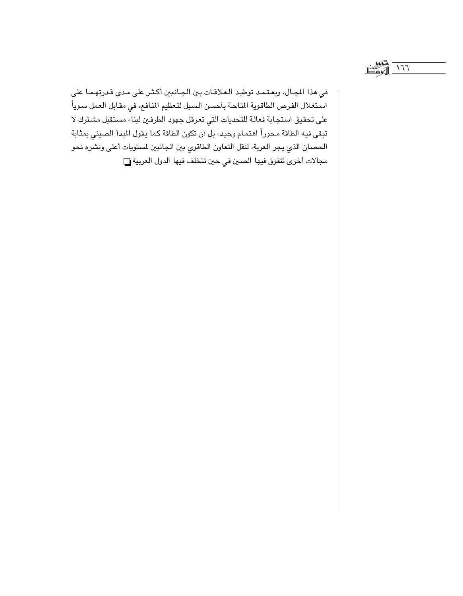في هذا المجال، ويعتمد توطيد العلاقات بين الجانبين أكثر على مدى قدرتهما على استغلال الفرص الطاقوية المتاحة بأحسن السبل لتعظيم المنافع، في مقابل العمل سوياً على تحقيق استجابة فعالة للتحديات التي تعرقل جهود الطرفين لبناء مستقبل مشترك لا تبقى فيه الطاقة محوراً اهتمام وحيد، بل أن تكون الطاقة كما يقول المبدأ الصيني بمثابة الحصان الذي يجر العربة، لنقل التعاون الطاقوي بين الجانبين لمستويات أعلى ونشره نحو مجالات أخرى تتفوق فيها الصين في حين تتخلف فيها الدول العربية [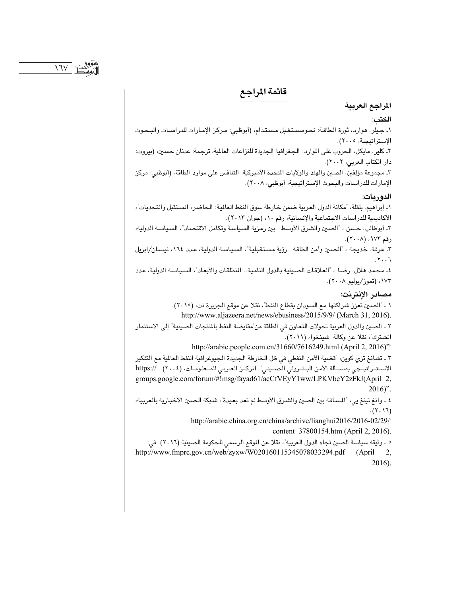# قائمة المراجع

## المراجع العربية الكتب: ١ـ جيلر. هوارد، ثورة الطاقة: نحومستقبل مستدام، (أبوظبي: مركز الإمارات للدراسات والبحوث الإستراتيجية، ٢٠٠٥). ٢ـ كلير. مايكل، الحروب على الموارد: الجغرافيا الجديدة للنزاعات العالمية، ترجمة: عدنان حسين، (بيروت: دار الكتاب العربي، ٢٠٠٢). ٣ـ مجموعة مؤلفين، الصين والهند والولايات المتحدة الأميركية: التنافس على موارد الطاقة، (أبوظبي: مركز الإمارات للدراسات والبحوث الإستراتيجية، أبوظبي، ٢٠٠٨). الدوريات: ١ـ إبراهيم. بلقلة، "مكانة الدول العربية ضمن خارطة سوق النفط العالية: الحاضر، المستقبل والتحديات"، الأكاديمية للدراسات الاجتماعية والإنسانية، رقم ١٠، (جوان ٢٠١٣). ٢ـ أبوطالب. حسن ، "الصين والشرق الأوسط.. بين رمزية السياسة وتكامل الاقتصاد"، السياسة الدولية، رقم ١٧٣، (٢٠٠٨). ٢ـ عرفة. خديجة ، "الصين وأمن الطاقة.. رؤية مستقبلية"، السياسة الدولية، عدد ١٦٤، نيسان/ابريل  $.7.7$ ٤ـ محمد هلال. رضا ، "العلاقات الصينية بالدول النامية.. المنطلقات والأبعاد"، السياسة الدولية، عدد ۱۷۳، (تموز/يوليو ۲۰۰۸). مصادر الانترنت: ١ ـ "الصين تعزز شراكتها مع السودان بقطاع النفط"، نقلا عن موقع الجزيرة نت، (٢٠١٥). http://www.aljazeera.net/news/ebusiness/2015/9/9/ (March 31, 2016). ٢ ـ الصين والدول العربية تحولات التعاون في الطاقة من ّمقايضة النفط بالمنتجات الصينية" إلى الاستثمار المشترك"، نقلا عن وكالة شينخوا، (٢٠١١). http://arabic.people.com.cn/31660/7616249.html (April 2, 2016)" ٣ ـ تشانغ تزي كوين، "قضية الأمن النفطي في ظل الخارطة الجديدة الجيوغرافية النفط العالمية مع التفكير الاستراتيجي بمســألة الأمن البـتـرولي الصـيني". المركــز العـربي للمــعلومــات، (٢٠٠٤). .//:https groups.google.com/forum/#!msg/fayad61/acCfVEyY1ww/LPKVbeY2zFkJ(April 2,  $2016$ ". ٤ ـ وانغ تينغ يي، "المسافة بين الصين والشرق الأوسط لم تعد بعيدة"، شبكة الصين الاخبارية بالعربية،  $(7.17)$ http://arabic.china.org.cn/china/archive/lianghui2016/2016-02/29/ content\_37800154.htm (April 2, 2016). ٥ ـ وثيقة سياسة الصين تجاه الدول العربية"، نقلا عن الموقع الرسمي للحكومة الصينية (٢٠١٦). في: http://www.fmprc.gov.cn/web/zyxw/W020160115345078033294.pdf (April 2,

2016).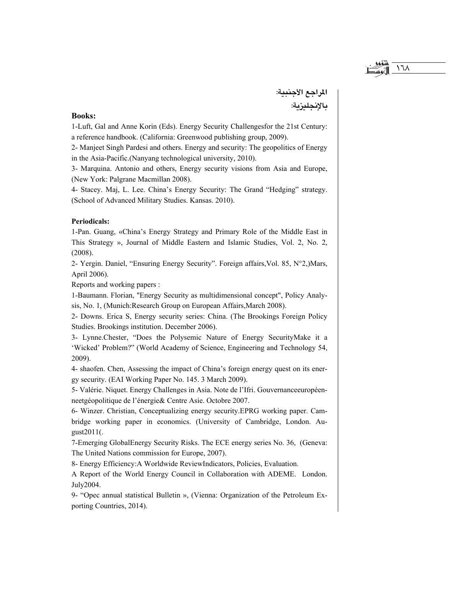المراجع الأجنبية:

 $\lambda$ 

### **Books:**

1-Luft, Gal and Anne Korin (Eds). Energy Security Challenges for the 21st Century: a reference handbook. (California: Greenwood publishing group, 2009).

2- Manjeet Singh Pardesi and others. Energy and security: The geopolitics of Energy in the Asia-Pacific. (Nanyang technological university, 2010).

3- Marquina. Antonio and others, Energy security visions from Asia and Europe, (New York: Palgrane Macmillan 2008).

4- Stacey. Maj, L. Lee. China's Energy Security: The Grand "Hedging" strategy. (School of Advanced Military Studies, Kansas, 2010).

#### **Periodicals:**

1-Pan. Guang, «China's Energy Strategy and Primary Role of the Middle East in This Strategy », Journal of Middle Eastern and Islamic Studies, Vol. 2, No. 2,  $(2008).$ 

2- Yergin. Daniel, "Ensuring Energy Security". Foreign affairs, Vol. 85, N°2,)Mars, April 2006).

Reports and working papers :

1-Baumann, Florian, "Energy Security as multidimensional concept", Policy Analysis, No. 1, (Munich: Research Group on European Affairs, March 2008).

2- Downs. Erica S, Energy security series: China. (The Brookings Foreign Policy Studies. Brookings institution. December 2006).

3- Lynne. Chester, "Does the Polysemic Nature of Energy Security Make it a 'Wicked' Problem?" (World Academy of Science, Engineering and Technology 54, 2009).

4- shaofen. Chen, Assessing the impact of China's foreign energy quest on its energy security. (EAI Working Paper No. 145. 3 March 2009).

5- Valérie. Niquet. Energy Challenges in Asia. Note de l'Ifri. Gouvernanceeuropéenneetgéopolitique de l'énergie & Centre Asie. Octobre 2007.

6- Winzer. Christian, Conceptualizing energy security. EPRG working paper. Cambridge working paper in economics. (University of Cambridge, London. August2011(.

7-Emerging GlobalEnergy Security Risks. The ECE energy series No. 36, (Geneva: The United Nations commission for Europe, 2007).

8- Energy Efficiency: A Worldwide ReviewIndicators, Policies, Evaluation.

A Report of the World Energy Council in Collaboration with ADEME. London. July2004.

9- "Opec annual statistical Bulletin », (Vienna: Organization of the Petroleum Exporting Countries, 2014).